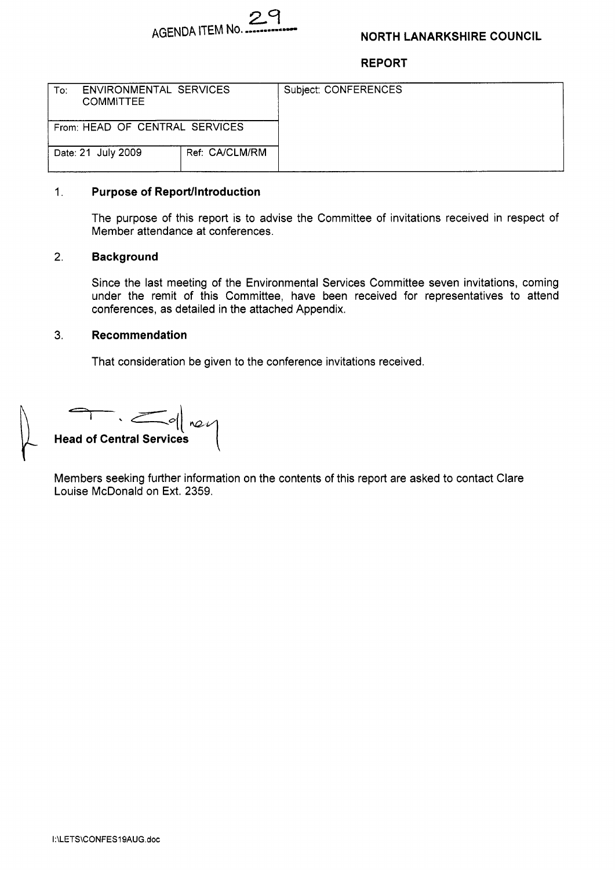

## **NORTH LANARKSHIRE COUNCIL**

**REPORT** 

| To:                                  | ENVIRONMENTAL SERVICES<br><b>COMMITTEE</b> |  | Subject: CONFERENCES |
|--------------------------------------|--------------------------------------------|--|----------------------|
| From: HEAD OF CENTRAL SERVICES       |                                            |  |                      |
| Ref: CA/CLM/RM<br>Date: 21 July 2009 |                                            |  |                      |

#### 1. **Purpose of Reportllntroduction**

The purpose of this report is to advise the Committee of invitations received in respect of Member attendance at conferences.

## 2. **Background**

Since the last meeting of the Environmental Services Committee seven invitations, coming under the remit of this Committee, have been received for representatives to attend conferences, as detailed in the attached Appendix.

## 3. **Recommendation**

That consideration be given to the conference invitations received.

**Head of Central Services** 

Members seeking further information on the contents of this report are asked to contact Clare Louise McDonald on Ext. 2359.